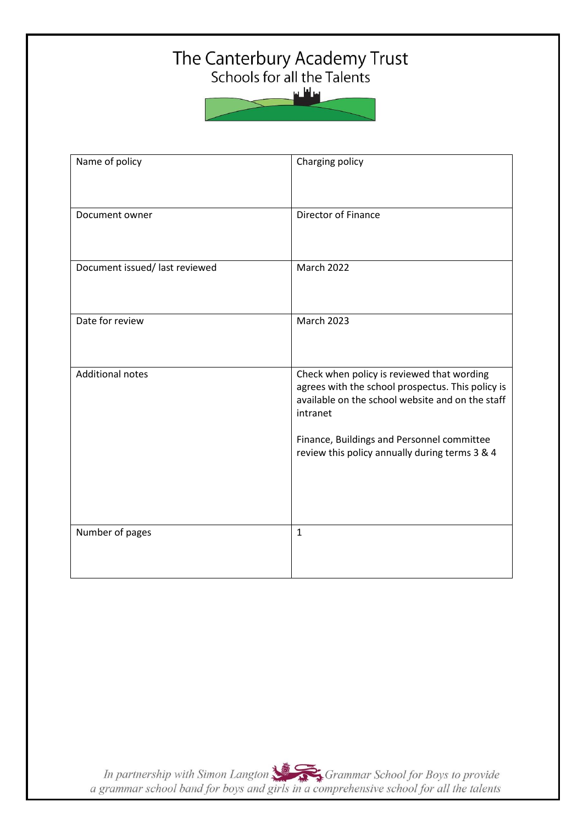## The Canterbury Academy Trust<br>Schools for all the Talents

سافلس

| Name of policy                 | Charging policy                                                                                                                                                                                                                                                 |
|--------------------------------|-----------------------------------------------------------------------------------------------------------------------------------------------------------------------------------------------------------------------------------------------------------------|
| Document owner                 | Director of Finance                                                                                                                                                                                                                                             |
| Document issued/ last reviewed | <b>March 2022</b>                                                                                                                                                                                                                                               |
| Date for review                | <b>March 2023</b>                                                                                                                                                                                                                                               |
| <b>Additional notes</b>        | Check when policy is reviewed that wording<br>agrees with the school prospectus. This policy is<br>available on the school website and on the staff<br>intranet<br>Finance, Buildings and Personnel committee<br>review this policy annually during terms 3 & 4 |
| Number of pages                | $\mathbf{1}$                                                                                                                                                                                                                                                    |

In partnership with Simon Langton Sexting Grammar School for Boys to provide<br>a grammar school band for boys and girls in a comprehensive school for all the talents